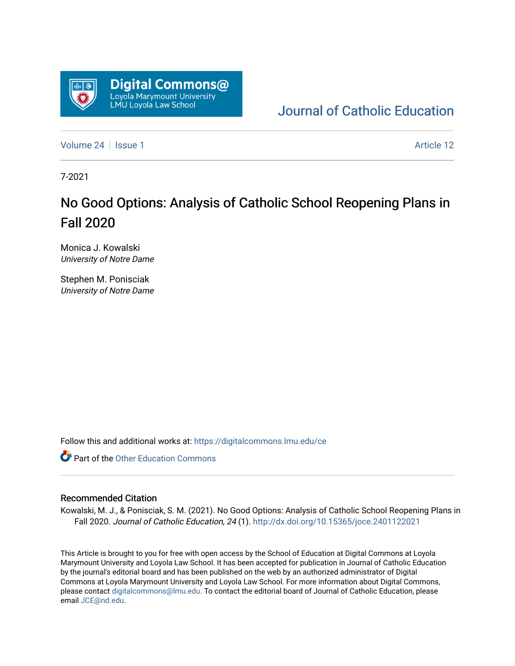

### [Journal of Catholic Education](https://digitalcommons.lmu.edu/ce)

[Volume 24](https://digitalcommons.lmu.edu/ce/vol24) | [Issue 1](https://digitalcommons.lmu.edu/ce/vol24/iss1) Article 12

7-2021

## No Good Options: Analysis of Catholic School Reopening Plans in Fall 2020

Monica J. Kowalski University of Notre Dame

Stephen M. Ponisciak University of Notre Dame

Follow this and additional works at: [https://digitalcommons.lmu.edu/ce](https://digitalcommons.lmu.edu/ce?utm_source=digitalcommons.lmu.edu%2Fce%2Fvol24%2Fiss1%2F12&utm_medium=PDF&utm_campaign=PDFCoverPages)

**Part of the Other Education Commons** 

#### Recommended Citation

Kowalski, M. J., & Ponisciak, S. M. (2021). No Good Options: Analysis of Catholic School Reopening Plans in Fall 2020. Journal of Catholic Education, 24 (1). <http://dx.doi.org/10.15365/joce.2401122021>

This Article is brought to you for free with open access by the School of Education at Digital Commons at Loyola Marymount University and Loyola Law School. It has been accepted for publication in Journal of Catholic Education by the journal's editorial board and has been published on the web by an authorized administrator of Digital Commons at Loyola Marymount University and Loyola Law School. For more information about Digital Commons, please contact [digitalcommons@lmu.edu](mailto:digitalcommons@lmu.edu). To contact the editorial board of Journal of Catholic Education, please email [JCE@nd.edu](mailto:JCE@nd.edu).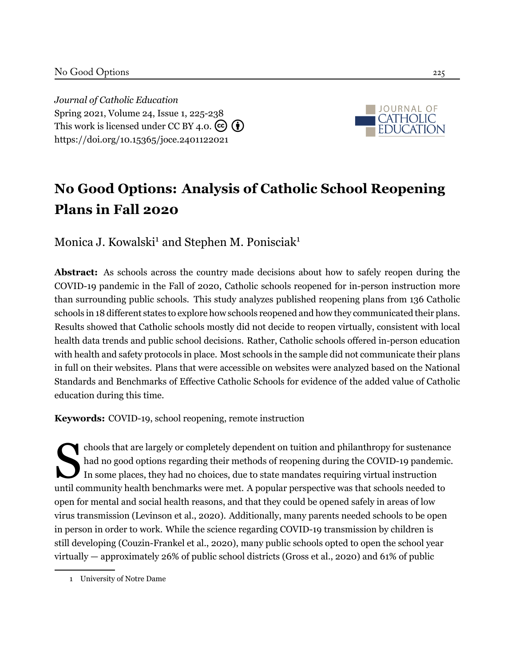*Journal of Catholic Education* Spring 2021, Volume 24, Issue 1, 225[-238](#page-14-0) This work is licensed under CC BY 4.0.  $\left(\begin{matrix} \mathbf{c} \\ \mathbf{c} \end{matrix}\right)$ <https://doi.org/10.15365/joce.2401122021>



# **No Good Options: Analysis of Catholic School Reopening Plans in Fall 2020**

Monica J. Kowalski<sup>1</sup> and Stephen M. Ponisciak<sup>1</sup>

**Abstract:** As schools across the country made decisions about how to safely reopen during the COVID-19 pandemic in the Fall of 2020, Catholic schools reopened for in-person instruction more than surrounding public schools. This study analyzes published reopening plans from 136 Catholic schools in 18 different states to explore how schools reopened and how they communicated their plans. Results showed that Catholic schools mostly did not decide to reopen virtually, consistent with local health data trends and public school decisions. Rather, Catholic schools offered in-person education with health and safety protocols in place. Most schools in the sample did not communicate their plans in full on their websites. Plans that were accessible on websites were analyzed based on the National Standards and Benchmarks of Effective Catholic Schools for evidence of the added value of Catholic education during this time.

**Keywords:** COVID-19, school reopening, remote instruction

S<br>mtil.com chools that are largely or completely dependent on tuition and philanthropy for sustenance had no good options regarding their methods of reopening during the COVID-19 pandemic. In some places, they had no choices, due to state mandates requiring virtual instruction until community health benchmarks were met. A popular perspective was that schools needed to open for mental and social health reasons, and that they could be opened safely in areas of low virus transmission([Levinson et al., 2020\)](#page-13-0). Additionally, many parents needed schools to be open in person in order to work. While the science regarding COVID-19 transmission by children is still developing([Couzin-Frankel et al., 2020\)](#page-12-0), many public schools opted to open the school year virtually — approximately 26% of public school districts([Gross et al.](#page-12-1), [2020](#page-12-1)) and 61% of public

<sup>1</sup> University of Notre Dame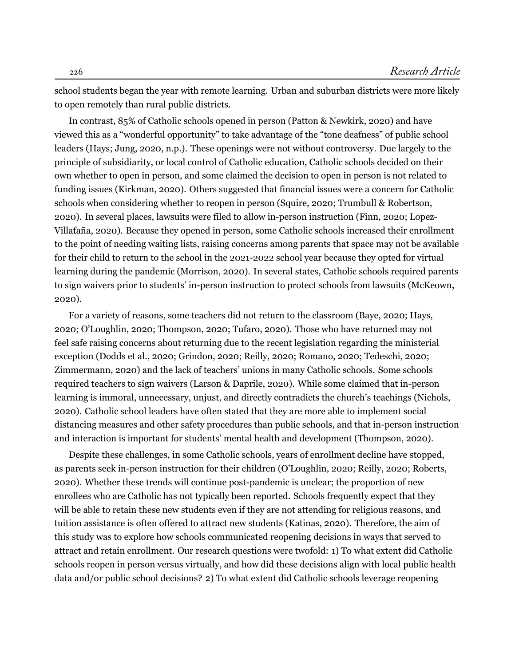school students began the year with remote learning. Urban and suburban districts were more likely to open remotely than rural public districts.

In contrast, 85% of Catholic schools opened in person([Patton & Newkirk, 2020\)](#page-14-1) and have viewed this as a "wonderful opportunity" to take advantage of the "tone deafness" of public school leaders [\(Hays;](#page-13-1) [Jung,](#page-13-2) 2020, n.p.). These openings were not without controversy. Due largely to the principle of subsidiarity, or local control of Catholic education, Catholic schools decided on their own whether to open in person, and some claimed the decision to open in person is not related to funding issues([Kirkman](#page-13-3), [2020\)](#page-13-3). Others suggested that financial issues were a concern for Catholic schools when considering whether to reopen in person [\(Squire, 2020](#page-14-2); [Trumbull & Robertson](#page-14-3), [2020](#page-14-3)). In several places, lawsuits were filed to allow in-person instruction [\(Finn](#page-12-2), [2020](#page-12-2); [Lopez-](#page-13-4)[Villafaña, 2020](#page-13-4)). Because they opened in person, some Catholic schools increased their enrollment to the point of needing waiting lists, raising concerns among parents that space may not be available for their child to return to the school in the 2021-2022 school year because they opted for virtual learning during the pandemic [\(Morrison, 2020\)](#page-13-5). In several states, Catholic schools required parents to sign waivers prior to students' in-person instruction to protect schools from lawsuits [\(McKeown](#page-13-6), [2020](#page-13-6)).

For a variety of reasons, some teachers did not return to the classroom([Baye](#page-12-3), [2020](#page-12-3); [Hays,](#page-13-1) [2020](#page-13-1); [O'Loughlin](#page-13-7), [2020;](#page-13-7) [Thompson](#page-14-4), [2020;](#page-14-4) [Tufaro](#page-14-5), [2020](#page-14-5)). Those who have returned may not feel safe raising concerns about returning due to the recent legislation regarding the ministerial exception [\(Dodds et al.](#page-12-4), [2020](#page-12-4); [Grindon](#page-12-5), [2020](#page-12-5); [Reilly, 2020](#page-14-6); [Romano](#page-14-7), [2020](#page-14-7); [Tedeschi](#page-14-8), [2020](#page-14-8); [Zimmermann, 2020\)](#page-14-9) and the lack of teachers' unions in many Catholic schools. Some schools required teachers to sign waivers([Larson & Daprile](#page-13-8), [2020\)](#page-13-8). While some claimed that in-person learning is immoral, unnecessary, unjust, and directly contradicts the church's teachings [\(Nichols,](#page-13-9) [2020](#page-13-9)). Catholic school leaders have often stated that they are more able to implement social distancing measures and other safety procedures than public schools, and that in-person instruction and interaction is important for students' mental health and development [\(Thompson](#page-14-4), [2020\)](#page-14-4).

Despite these challenges, in some Catholic schools, years of enrollment decline have stopped, as parents seek in-person instruction for their children([O'Loughlin, 2020;](#page-13-7) [Reilly](#page-14-6), [2020;](#page-14-6) [Roberts,](#page-14-10) [2020](#page-14-10)). Whether these trends will continue post-pandemic is unclear; the proportion of new enrollees who are Catholic has not typically been reported. Schools frequently expect that they will be able to retain these new students even if they are not attending for religious reasons, and tuition assistance is often offered to attract new students [\(Katinas, 2020](#page-13-10)). Therefore, the aim of this study was to explore how schools communicated reopening decisions in ways that served to attract and retain enrollment. Our research questions were twofold: 1) To what extent did Catholic schools reopen in person versus virtually, and how did these decisions align with local public health data and/or public school decisions? 2) To what extent did Catholic schools leverage reopening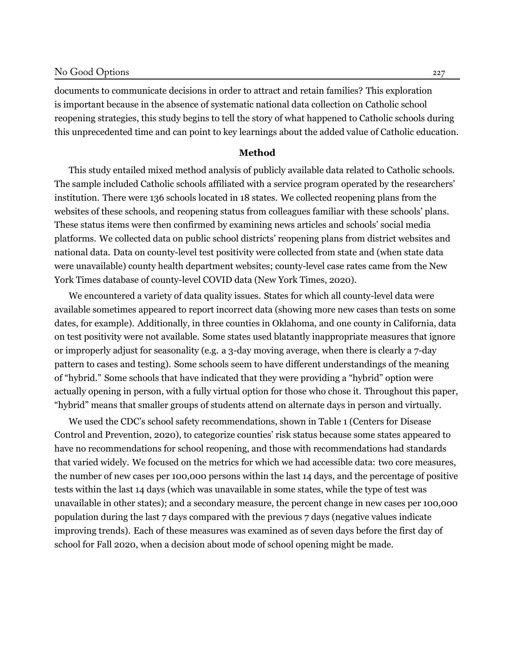documents to communicate decisions in order to attract and retain families? This exploration is important because in the absence of systematic national data collection on Catholic school reopening strategies, this study begins to tell the story of what happened to Catholic schools during this unprecedented time and can point to key learnings about the added value of Catholic education.

#### **Method**

This study entailed mixed method analysis of publicly available data related to Catholic schools. The sample included Catholic schools affiliated with a service program operated by the researchers' institution. There were 136 schools located in 18 states. We collected reopening plans from the websites of these schools, and reopening status from colleagues familiar with these schools' plans. These status items were then confirmed by examining news articles and schools' social media platforms. We collected data on public school districts' reopening plans from district websites and national data. Data on county-level test positivity were collected from state and (when state data were unavailable) county health department websites; county-level case rates came from the New York Times database of county-level COVID data([New York Times](#page-13-11), [2020](#page-13-11)).

We encountered a variety of data quality issues. States for which all county-level data were available sometimes appeared to report incorrect data (showing more new cases than tests on some dates, for example). Additionally, in three counties in Oklahoma, and one county in California, data on test positivity were not available. Some states used blatantly inappropriate measures that ignore or improperly adjust for seasonality (e.g. a 3-day moving average, when there is clearly a 7-day pattern to cases and testing). Some schools seem to have different understandings of the meaning of "hybrid." Some schools that have indicated that they were providing a "hybrid" option were actually opening in person, with a fully virtual option for those who chose it. Throughout this paper, "hybrid" means that smaller groups of students attend on alternate days in person and virtually.

We used the CDC's school safety recommendations, shown in Table 1([Centers for Disease](#page-12-6) [Control and Prevention, 2020\)](#page-12-6), to categorize counties' risk status because some states appeared to have no recommendations for school reopening, and those with recommendations had standards that varied widely. We focused on the metrics for which we had accessible data: two core measures, the number of new cases per 100,000 persons within the last 14 days, and the percentage of positive tests within the last 14 days (which was unavailable in some states, while the type of test was unavailable in other states); and a secondary measure, the percent change in new cases per 100,000 population during the last 7 days compared with the previous 7 days (negative values indicate improving trends). Each of these measures was examined as of seven days before the first day of school for Fall 2020, when a decision about mode of school opening might be made.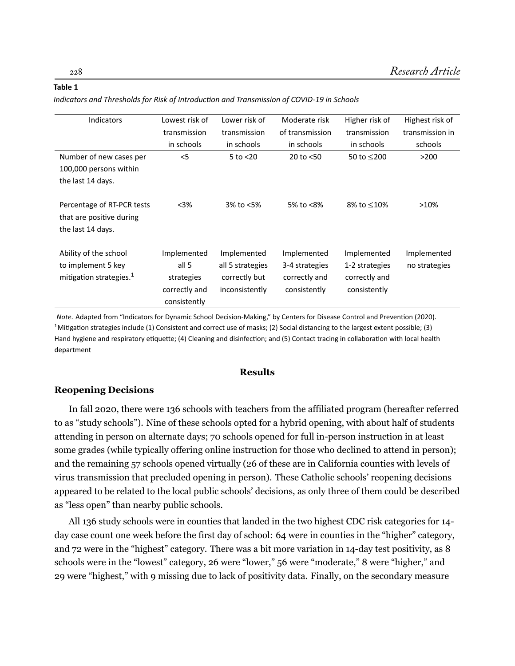#### **Table 1**

*Indicators and Thresholds for Risk of Introduction and Transmission of COVID-19 in Schools* 

| <b>Indicators</b>                   | Lowest risk of | Lower risk of    | Moderate risk   | Higher risk of | Highest risk of |
|-------------------------------------|----------------|------------------|-----------------|----------------|-----------------|
|                                     | transmission   | transmission     | of transmission | transmission   | transmission in |
|                                     | in schools     | in schools       | in schools      | in schools     | schools         |
| Number of new cases per             | $<$ 5          | $5$ to $<$ 20    | 20 to $<$ 50    | 50 to $<$ 200  | >200            |
| 100,000 persons within              |                |                  |                 |                |                 |
| the last 14 days.                   |                |                  |                 |                |                 |
|                                     |                |                  |                 |                |                 |
| Percentage of RT-PCR tests          | $<$ 3%         | 3% to <5%        | 5% to <8%       | 8% to <10%     | >10%            |
| that are positive during            |                |                  |                 |                |                 |
| the last 14 days.                   |                |                  |                 |                |                 |
|                                     |                |                  |                 |                |                 |
| Ability of the school               | Implemented    | Implemented      | Implemented     | Implemented    | Implemented     |
| to implement 5 key                  | all 5          | all 5 strategies | 3-4 strategies  | 1-2 strategies | no strategies   |
| mitigation strategies. <sup>1</sup> | strategies     | correctly but    | correctly and   | correctly and  |                 |
|                                     | correctly and  | inconsistently   | consistently    | consistently   |                 |
|                                     |                |                  |                 |                |                 |
|                                     | consistently   |                  |                 |                |                 |

*Note*. Adapted from "Indicators for Dynamic School Decision-Making," by Centers for Disease Control and Prevention (2020).  $1$ Mitigation strategies include (1) Consistent and correct use of masks; (2) Social distancing to the largest extent possible; (3) Hand hygiene and respiratory etiquette; (4) Cleaning and disinfection; and (5) Contact tracing in collaboration with local health department

#### **Results**

#### **Reopening Decisions**

In fall 2020, there were 136 schools with teachers from the affiliated program (hereafter referred to as "study schools"). Nine of these schools opted for a hybrid opening, with about half of students attending in person on alternate days; 70 schools opened for full in-person instruction in at least some grades (while typically offering online instruction for those who declined to attend in person); and the remaining 57 schools opened virtually (26 of these are in California counties with levels of virus transmission that precluded opening in person). These Catholic schools' reopening decisions appeared to be related to the local public schools' decisions, as only three of them could be described as "less open" than nearby public schools.

All 136 study schools were in counties that landed in the two highest CDC risk categories for 14 day case count one week before the first day of school: 64 were in counties in the "higher" category, and 72 were in the "highest" category. There was a bit more variation in 14-day test positivity, as 8 schools were in the "lowest" category, 26 were "lower," 56 were "moderate," 8 were "higher," and 29 were "highest," with 9 missing due to lack of positivity data. Finally, on the secondary measure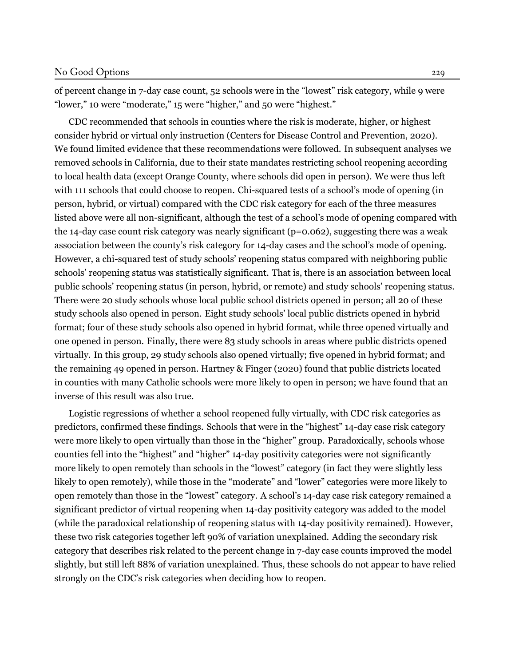of percent change in 7-day case count, 52 schools were in the "lowest" risk category, while 9 were "lower," 10 were "moderate," 15 were "higher," and 50 were "highest."

CDC recommended that schools in counties where the risk is moderate, higher, or highest consider hybrid or virtual only instruction (Centers for Disease Control and Prevention, 2020). We found limited evidence that these recommendations were followed. In subsequent analyses we removed schools in California, due to their state mandates restricting school reopening according to local health data (except Orange County, where schools did open in person). We were thus left with 111 schools that could choose to reopen. Chi-squared tests of a school's mode of opening (in person, hybrid, or virtual) compared with the CDC risk category for each of the three measures listed above were all non-significant, although the test of a school's mode of opening compared with the 14-day case count risk category was nearly significant (p=0.062), suggesting there was a weak association between the county's risk category for 14-day cases and the school's mode of opening. However, a chi-squared test of study schools' reopening status compared with neighboring public schools' reopening status was statistically significant. That is, there is an association between local public schools' reopening status (in person, hybrid, or remote) and study schools' reopening status. There were 20 study schools whose local public school districts opened in person; all 20 of these study schools also opened in person. Eight study schools' local public districts opened in hybrid format; four of these study schools also opened in hybrid format, while three opened virtually and one opened in person. Finally, there were 83 study schools in areas where public districts opened virtually. In this group, 29 study schools also opened virtually; five opened in hybrid format; and the remaining 49 opened in person. [Hartney & Finger](#page-12-7) ([2020](#page-12-7)) found that public districts located in counties with many Catholic schools were more likely to open in person; we have found that an inverse of this result was also true.

Logistic regressions of whether a school reopened fully virtually, with CDC risk categories as predictors, confirmed these findings. Schools that were in the "highest" 14-day case risk category were more likely to open virtually than those in the "higher" group. Paradoxically, schools whose counties fell into the "highest" and "higher" 14-day positivity categories were not significantly more likely to open remotely than schools in the "lowest" category (in fact they were slightly less likely to open remotely), while those in the "moderate" and "lower" categories were more likely to open remotely than those in the "lowest" category. A school's 14-day case risk category remained a significant predictor of virtual reopening when 14-day positivity category was added to the model (while the paradoxical relationship of reopening status with 14-day positivity remained). However, these two risk categories together left 90% of variation unexplained. Adding the secondary risk category that describes risk related to the percent change in 7-day case counts improved the model slightly, but still left 88% of variation unexplained. Thus, these schools do not appear to have relied strongly on the CDC's risk categories when deciding how to reopen.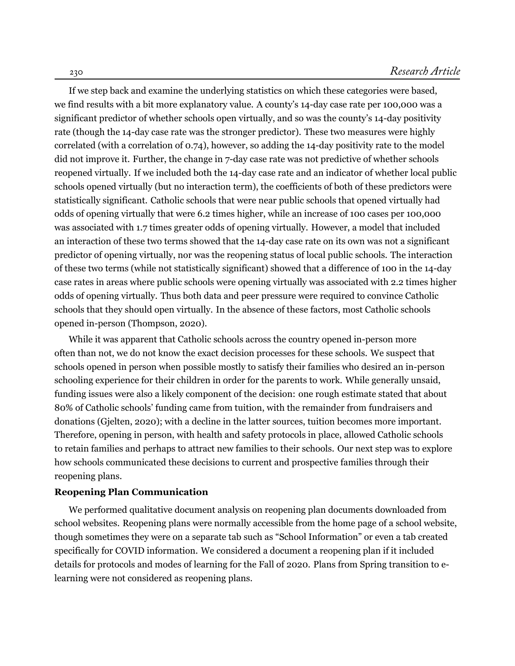If we step back and examine the underlying statistics on which these categories were based, we find results with a bit more explanatory value. A county's 14-day case rate per 100,000 was a significant predictor of whether schools open virtually, and so was the county's 14-day positivity rate (though the 14-day case rate was the stronger predictor). These two measures were highly correlated (with a correlation of 0.74), however, so adding the 14-day positivity rate to the model did not improve it. Further, the change in 7-day case rate was not predictive of whether schools reopened virtually. If we included both the 14-day case rate and an indicator of whether local public schools opened virtually (but no interaction term), the coefficients of both of these predictors were statistically significant. Catholic schools that were near public schools that opened virtually had odds of opening virtually that were 6.2 times higher, while an increase of 100 cases per 100,000 was associated with 1.7 times greater odds of opening virtually. However, a model that included an interaction of these two terms showed that the 14-day case rate on its own was not a significant predictor of opening virtually, nor was the reopening status of local public schools. The interaction of these two terms (while not statistically significant) showed that a difference of 100 in the 14-day case rates in areas where public schools were opening virtually was associated with 2.2 times higher odds of opening virtually. Thus both data and peer pressure were required to convince Catholic schools that they should open virtually. In the absence of these factors, most Catholic schools opened in-person [\(Thompson](#page-14-4), [2020](#page-14-4)).

While it was apparent that Catholic schools across the country opened in-person more often than not, we do not know the exact decision processes for these schools. We suspect that schools opened in person when possible mostly to satisfy their families who desired an in-person schooling experience for their children in order for the parents to work. While generally unsaid, funding issues were also a likely component of the decision: one rough estimate stated that about 80% of Catholic schools' funding came from tuition, with the remainder from fundraisers and donations([Gjelten, 2020\)](#page-12-8); with a decline in the latter sources, tuition becomes more important. Therefore, opening in person, with health and safety protocols in place, allowed Catholic schools to retain families and perhaps to attract new families to their schools. Our next step was to explore how schools communicated these decisions to current and prospective families through their reopening plans.

#### **Reopening Plan Communication**

We performed qualitative document analysis on reopening plan documents downloaded from school websites. Reopening plans were normally accessible from the home page of a school website, though sometimes they were on a separate tab such as "School Information" or even a tab created specifically for COVID information. We considered a document a reopening plan if it included details for protocols and modes of learning for the Fall of 2020. Plans from Spring transition to elearning were not considered as reopening plans.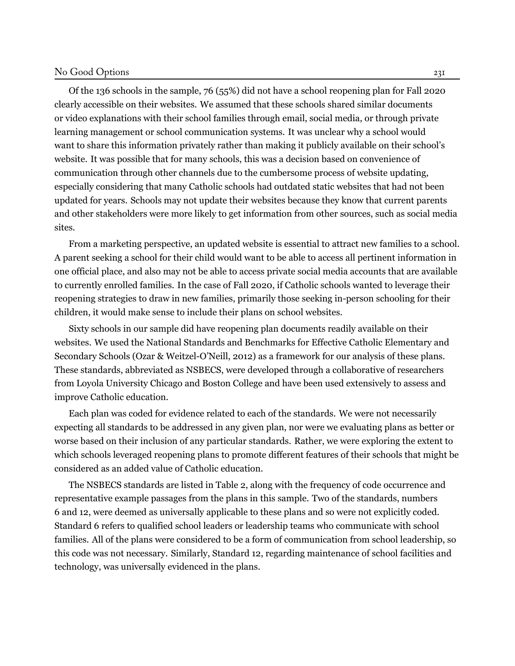#### No Good Options 231

Of the 136 schools in the sample, 76 (55%) did not have a school reopening plan for Fall 2020 clearly accessible on their websites. We assumed that these schools shared similar documents or video explanations with their school families through email, social media, or through private learning management or school communication systems. It was unclear why a school would want to share this information privately rather than making it publicly available on their school's website. It was possible that for many schools, this was a decision based on convenience of communication through other channels due to the cumbersome process of website updating, especially considering that many Catholic schools had outdated static websites that had not been updated for years. Schools may not update their websites because they know that current parents and other stakeholders were more likely to get information from other sources, such as social media sites.

From a marketing perspective, an updated website is essential to attract new families to a school. A parent seeking a school for their child would want to be able to access all pertinent information in one official place, and also may not be able to access private social media accounts that are available to currently enrolled families. In the case of Fall 2020, if Catholic schools wanted to leverage their reopening strategies to draw in new families, primarily those seeking in-person schooling for their children, it would make sense to include their plans on school websites.

Sixty schools in our sample did have reopening plan documents readily available on their websites. We used the National Standards and Benchmarks for Effective Catholic Elementary and Secondary Schools (Ozar & Weitzel-O'Neill, 2012) as a framework for our analysis of these plans. These standards, abbreviated as NSBECS, were developed through a collaborative of researchers from Loyola University Chicago and Boston College and have been used extensively to assess and improve Catholic education.

Each plan was coded for evidence related to each of the standards. We were not necessarily expecting all standards to be addressed in any given plan, nor were we evaluating plans as better or worse based on their inclusion of any particular standards. Rather, we were exploring the extent to which schools leveraged reopening plans to promote different features of their schools that might be considered as an added value of Catholic education.

The NSBECS standards are listed in Table 2, along with the frequency of code occurrence and representative example passages from the plans in this sample. Two of the standards, numbers 6 and 12, were deemed as universally applicable to these plans and so were not explicitly coded. Standard 6 refers to qualified school leaders or leadership teams who communicate with school families. All of the plans were considered to be a form of communication from school leadership, so this code was not necessary. Similarly, Standard 12, regarding maintenance of school facilities and technology, was universally evidenced in the plans.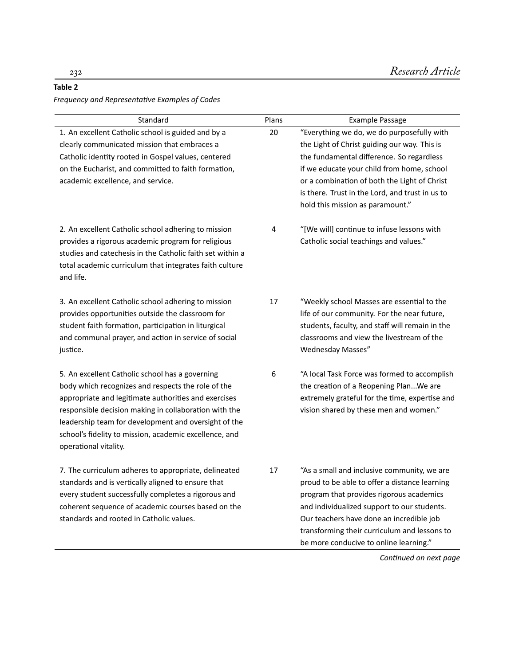#### **Table 2**

*Frequency and RepresentaƟve Examples of Codes*

| Standard                                                                                                                                                                                                                                                                                                                                                          | Plans | <b>Example Passage</b>                                                                                                                                                                                                                                                                                                        |
|-------------------------------------------------------------------------------------------------------------------------------------------------------------------------------------------------------------------------------------------------------------------------------------------------------------------------------------------------------------------|-------|-------------------------------------------------------------------------------------------------------------------------------------------------------------------------------------------------------------------------------------------------------------------------------------------------------------------------------|
| 1. An excellent Catholic school is guided and by a<br>clearly communicated mission that embraces a<br>Catholic identity rooted in Gospel values, centered<br>on the Eucharist, and committed to faith formation,<br>academic excellence, and service.                                                                                                             | 20    | "Everything we do, we do purposefully with<br>the Light of Christ guiding our way. This is<br>the fundamental difference. So regardless<br>if we educate your child from home, school<br>or a combination of both the Light of Christ<br>is there. Trust in the Lord, and trust in us to<br>hold this mission as paramount."  |
| 2. An excellent Catholic school adhering to mission<br>provides a rigorous academic program for religious<br>studies and catechesis in the Catholic faith set within a<br>total academic curriculum that integrates faith culture<br>and life.                                                                                                                    | 4     | "[We will] continue to infuse lessons with<br>Catholic social teachings and values."                                                                                                                                                                                                                                          |
| 3. An excellent Catholic school adhering to mission<br>provides opportunities outside the classroom for<br>student faith formation, participation in liturgical<br>and communal prayer, and action in service of social<br>justice.                                                                                                                               | 17    | "Weekly school Masses are essential to the<br>life of our community. For the near future,<br>students, faculty, and staff will remain in the<br>classrooms and view the livestream of the<br>Wednesday Masses"                                                                                                                |
| 5. An excellent Catholic school has a governing<br>body which recognizes and respects the role of the<br>appropriate and legitimate authorities and exercises<br>responsible decision making in collaboration with the<br>leadership team for development and oversight of the<br>school's fidelity to mission, academic excellence, and<br>operational vitality. | 6     | "A local Task Force was formed to accomplish<br>the creation of a Reopening PlanWe are<br>extremely grateful for the time, expertise and<br>vision shared by these men and women."                                                                                                                                            |
| 7. The curriculum adheres to appropriate, delineated<br>standards and is vertically aligned to ensure that<br>every student successfully completes a rigorous and<br>coherent sequence of academic courses based on the<br>standards and rooted in Catholic values.                                                                                               | 17    | "As a small and inclusive community, we are<br>proud to be able to offer a distance learning<br>program that provides rigorous academics<br>and individualized support to our students.<br>Our teachers have done an incredible job<br>transforming their curriculum and lessons to<br>be more conducive to online learning." |

*ConƟnued on next page*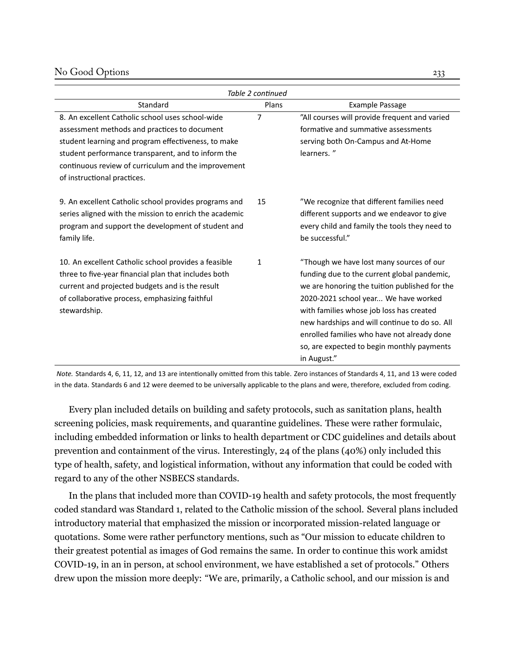#### No Good Options 233

| Table 2 continued                                                                                                                                                                                                                 |                |                                                                                                                                                                                                                                                                                                                                                                                           |  |  |  |  |  |
|-----------------------------------------------------------------------------------------------------------------------------------------------------------------------------------------------------------------------------------|----------------|-------------------------------------------------------------------------------------------------------------------------------------------------------------------------------------------------------------------------------------------------------------------------------------------------------------------------------------------------------------------------------------------|--|--|--|--|--|
| Standard                                                                                                                                                                                                                          | Plans          | <b>Example Passage</b>                                                                                                                                                                                                                                                                                                                                                                    |  |  |  |  |  |
| 8. An excellent Catholic school uses school-wide<br>assessment methods and practices to document                                                                                                                                  | $\overline{7}$ | "All courses will provide frequent and varied<br>formative and summative assessments                                                                                                                                                                                                                                                                                                      |  |  |  |  |  |
| student learning and program effectiveness, to make<br>student performance transparent, and to inform the<br>continuous review of curriculum and the improvement<br>of instructional practices.                                   |                | serving both On-Campus and At-Home<br>learners."                                                                                                                                                                                                                                                                                                                                          |  |  |  |  |  |
| 9. An excellent Catholic school provides programs and<br>series aligned with the mission to enrich the academic<br>program and support the development of student and<br>family life.                                             | 15             | "We recognize that different families need<br>different supports and we endeavor to give<br>every child and family the tools they need to<br>be successful."                                                                                                                                                                                                                              |  |  |  |  |  |
| 10. An excellent Catholic school provides a feasible<br>three to five-year financial plan that includes both<br>current and projected budgets and is the result<br>of collaborative process, emphasizing faithful<br>stewardship. | $\mathbf{1}$   | "Though we have lost many sources of our<br>funding due to the current global pandemic,<br>we are honoring the tuition published for the<br>2020-2021 school year We have worked<br>with families whose job loss has created<br>new hardships and will continue to do so. All<br>enrolled families who have not already done<br>so, are expected to begin monthly payments<br>in August." |  |  |  |  |  |

*Note.* Standards 4, 6, 11, 12, and 13 are intentionally omitted from this table. Zero instances of Standards 4, 11, and 13 were coded in the data. Standards 6 and 12 were deemed to be universally applicable to the plans and were, therefore, excluded from coding.

Every plan included details on building and safety protocols, such as sanitation plans, health screening policies, mask requirements, and quarantine guidelines. These were rather formulaic, including embedded information or links to health department or CDC guidelines and details about prevention and containment of the virus. Interestingly, 24 of the plans (40%) only included this type of health, safety, and logistical information, without any information that could be coded with regard to any of the other NSBECS standards.

In the plans that included more than COVID-19 health and safety protocols, the most frequently coded standard was Standard 1, related to the Catholic mission of the school. Several plans included introductory material that emphasized the mission or incorporated mission-related language or quotations. Some were rather perfunctory mentions, such as "Our mission to educate children to their greatest potential as images of God remains the same. In order to continue this work amidst COVID-19, in an in person, at school environment, we have established a set of protocols." Others drew upon the mission more deeply: "We are, primarily, a Catholic school, and our mission is and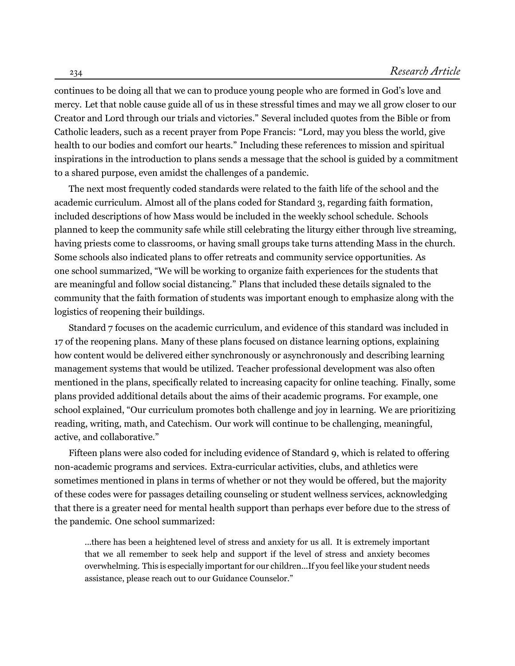continues to be doing all that we can to produce young people who are formed in God's love and mercy. Let that noble cause guide all of us in these stressful times and may we all grow closer to our Creator and Lord through our trials and victories." Several included quotes from the Bible or from Catholic leaders, such as a recent prayer from Pope Francis: "Lord, may you bless the world, give health to our bodies and comfort our hearts." Including these references to mission and spiritual inspirations in the introduction to plans sends a message that the school is guided by a commitment to a shared purpose, even amidst the challenges of a pandemic.

The next most frequently coded standards were related to the faith life of the school and the academic curriculum. Almost all of the plans coded for Standard 3, regarding faith formation, included descriptions of how Mass would be included in the weekly school schedule. Schools planned to keep the community safe while still celebrating the liturgy either through live streaming, having priests come to classrooms, or having small groups take turns attending Mass in the church. Some schools also indicated plans to offer retreats and community service opportunities. As one school summarized, "We will be working to organize faith experiences for the students that are meaningful and follow social distancing." Plans that included these details signaled to the community that the faith formation of students was important enough to emphasize along with the logistics of reopening their buildings.

Standard 7 focuses on the academic curriculum, and evidence of this standard was included in 17 of the reopening plans. Many of these plans focused on distance learning options, explaining how content would be delivered either synchronously or asynchronously and describing learning management systems that would be utilized. Teacher professional development was also often mentioned in the plans, specifically related to increasing capacity for online teaching. Finally, some plans provided additional details about the aims of their academic programs. For example, one school explained, "Our curriculum promotes both challenge and joy in learning. We are prioritizing reading, writing, math, and Catechism. Our work will continue to be challenging, meaningful, active, and collaborative."

Fifteen plans were also coded for including evidence of Standard 9, which is related to offering non-academic programs and services. Extra-curricular activities, clubs, and athletics were sometimes mentioned in plans in terms of whether or not they would be offered, but the majority of these codes were for passages detailing counseling or student wellness services, acknowledging that there is a greater need for mental health support than perhaps ever before due to the stress of the pandemic. One school summarized:

...there has been a heightened level of stress and anxiety for us all. It is extremely important that we all remember to seek help and support if the level of stress and anxiety becomes overwhelming. This is especially important for our children...If you feel like your student needs assistance, please reach out to our Guidance Counselor."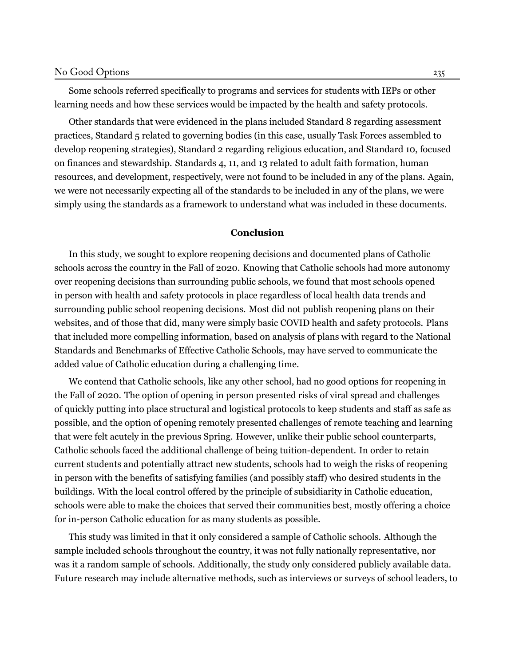Some schools referred specifically to programs and services for students with IEPs or other learning needs and how these services would be impacted by the health and safety protocols.

Other standards that were evidenced in the plans included Standard 8 regarding assessment practices, Standard 5 related to governing bodies (in this case, usually Task Forces assembled to develop reopening strategies), Standard 2 regarding religious education, and Standard 10, focused on finances and stewardship. Standards 4, 11, and 13 related to adult faith formation, human resources, and development, respectively, were not found to be included in any of the plans. Again, we were not necessarily expecting all of the standards to be included in any of the plans, we were simply using the standards as a framework to understand what was included in these documents.

#### **Conclusion**

In this study, we sought to explore reopening decisions and documented plans of Catholic schools across the country in the Fall of 2020. Knowing that Catholic schools had more autonomy over reopening decisions than surrounding public schools, we found that most schools opened in person with health and safety protocols in place regardless of local health data trends and surrounding public school reopening decisions. Most did not publish reopening plans on their websites, and of those that did, many were simply basic COVID health and safety protocols. Plans that included more compelling information, based on analysis of plans with regard to the National Standards and Benchmarks of Effective Catholic Schools, may have served to communicate the added value of Catholic education during a challenging time.

We contend that Catholic schools, like any other school, had no good options for reopening in the Fall of 2020. The option of opening in person presented risks of viral spread and challenges of quickly putting into place structural and logistical protocols to keep students and staff as safe as possible, and the option of opening remotely presented challenges of remote teaching and learning that were felt acutely in the previous Spring. However, unlike their public school counterparts, Catholic schools faced the additional challenge of being tuition-dependent. In order to retain current students and potentially attract new students, schools had to weigh the risks of reopening in person with the benefits of satisfying families (and possibly staff) who desired students in the buildings. With the local control offered by the principle of subsidiarity in Catholic education, schools were able to make the choices that served their communities best, mostly offering a choice for in-person Catholic education for as many students as possible.

This study was limited in that it only considered a sample of Catholic schools. Although the sample included schools throughout the country, it was not fully nationally representative, nor was it a random sample of schools. Additionally, the study only considered publicly available data. Future research may include alternative methods, such as interviews or surveys of school leaders, to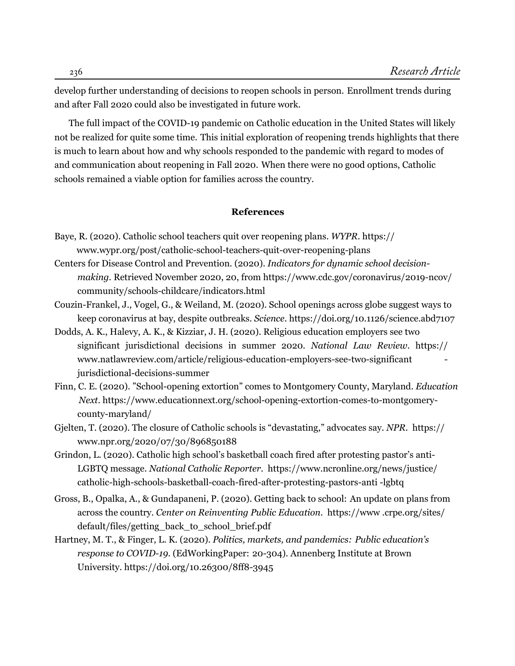develop further understanding of decisions to reopen schools in person. Enrollment trends during and after Fall 2020 could also be investigated in future work.

The full impact of the COVID-19 pandemic on Catholic education in the United States will likely not be realized for quite some time. This initial exploration of reopening trends highlights that there is much to learn about how and why schools responded to the pandemic with regard to modes of and communication about reopening in Fall 2020. When there were no good options, Catholic schools remained a viable option for families across the country.

#### **References**

- <span id="page-12-3"></span>Baye, R. (2020). Catholic school teachers quit over reopening plans. *WYPR*. [https://](https://www.wypr.org/post/catholic-school-teachers-quit-over-reopening-plans)  [www.wypr.org/post/catholic-school-teachers-quit-over-reopening-plans](https://www.wypr.org/post/catholic-school-teachers-quit-over-reopening-plans)
- <span id="page-12-6"></span>Centers for Disease Control and Prevention. (2020). *Indicators for dynamic school decisionmaking.* Retrieved November 2020, 20, from [https://www.cdc.gov/coronavirus/2019-ncov/](https://www.cdc.gov/coronavirus/2019-ncov/community/schools-childcare/indicators.html) [community/schools-childcare/indicators.html](https://www.cdc.gov/coronavirus/2019-ncov/community/schools-childcare/indicators.html)
- <span id="page-12-0"></span>Couzin-Frankel, J., Vogel, G., & Weiland, M. (2020). School openings across globe suggest ways to keep coronavirus at bay, despite outbreaks. *Science*. https://doi.org/10.1126/science.abd7107
- <span id="page-12-4"></span>Dodds, A. K., Halevy, A. K., & Kizziar, J. H. (2020). Religious education employers see two significant jurisdictional decisions in summer 2020. *National Law Review*. https:// [www.natlawreview.com/article/religious-education-employers-see-two-significant](https://www.natlawreview.com/article/religious-education-employers-see-two-significant-jurisdictional-decisions-summer) [jurisdictional-decisions-summer](https://www.natlawreview.com/article/religious-education-employers-see-two-significant-jurisdictional-decisions-summer)
- <span id="page-12-2"></span>Finn, C. E. (2020). "School-opening extortion" comes to Montgomery County, Maryland. *Education Next*. [https://www.educationnext.org/school-opening-extortion-comes-to-montgomery](https://www.educationnext.org/school-opening-extortion-comes-to-montgomery-county-maryland/)[county-maryland/](https://www.educationnext.org/school-opening-extortion-comes-to-montgomery-county-maryland/)
- <span id="page-12-8"></span>Gjelten, T. (2020). The closure of Catholic schools is "devastating," advocates say. *NPR*. https:// [www.npr.org/2020/07/30/896850188](https://www.npr.org/2020/07/30/896850188)
- <span id="page-12-5"></span>Grindon, L. (2020). Catholic high school's basketball coach fired after protesting pastor's anti-LGBTQ message. *National Catholic Reporter*. [https://www.ncronline.org/](https://www.ncronline.org/news/justice/catholic-high-schools-basketball-coach-fired-after-protesting-pastors-anti-lgbtq)news/justice/ [catholic-high-schools-basketball-coach-fired-after-protesting-pastors-anti](https://www.ncronline.org/news/justice/catholic-high-schools-basketball-coach-fired-after-protesting-pastors-anti-lgbtq) -lgbtq
- <span id="page-12-1"></span>Gross, [B.,](https://www.ncronline.org/news/justice/catholic-high-schools-basketball-coach-fired-after-protesting-pastors-anti-lgbtq) Opalka, A., & Gundapaneni, P. (2020). Getting back to school: An update on plans from across the country. *Center on Reinventing Public Education*. [https://www](https://www.crpe.org/sites/default/files/getting_back_to_school_brief.pdf) .crpe.org/sites/ [default/files/getting\\_back\\_to\\_school\\_brief.pdf](https://www.crpe.org/sites/default/files/getting_back_to_school_brief.pdf)
- <span id="page-12-7"></span>Hartney, M. T., & Finger, L. K. (2020). *Politics, markets, and pandemics: Public education's response to COVID-19.* (EdWorkingPaper: 20-304)*.* Annenberg Institute at Brown University. https://doi.org/10.26300/8ff8-3945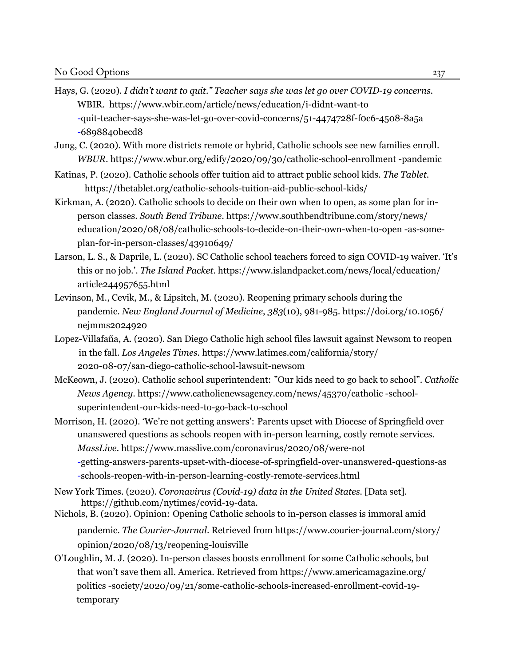- <span id="page-13-1"></span>Hays, G. (2020). *I didn't want to quit." Teacher says she was let go over COVID-19 concerns.* WBIR. [https://www.wbir.com/article/news/education/i-didnt-want-to](https://www.wbir.com/article/news/education/i-didnt-want-to-quit-teacher-says-she-was-let-go-over-covid-concerns/51-4474728f-f0c6-4508-8a5a-6898840becd8) [-quit-teacher-says-she-was-let-go-over-covid-concerns/51-4474728f-f0c6-4508-8a5a](https://www.wbir.com/article/news/education/i-didnt-want-to-quit-teacher-says-she-was-let-go-over-covid-concerns/51-4474728f-f0c6-4508-8a5a-6898840becd8) [-6898840becd8](https://www.wbir.com/article/news/education/i-didnt-want-to-quit-teacher-says-she-was-let-go-over-covid-concerns/51-4474728f-f0c6-4508-8a5a-6898840becd8)
- <span id="page-13-2"></span>Jung, C. (2020). With more districts remote or hybrid, Catholic schools see new families enroll. *WBUR*. [https://www.wbur.org/edify/2020/09/30/catholic-school-enrollment](https://www.wbur.org/edify/2020/09/30/catholic-school-enrollment-pandemic) -pandemic
- <span id="page-13-10"></span>Katin[as, P. \(2020](https://www.wbur.org/edify/2020/09/30/catholic-school-enrollment-pandemic)). Catholic schools offer tuition aid to attract public school kids. *The Tablet*. <https://thetablet.org/catholic-schools-tuition-aid-public-school-kids/>
- <span id="page-13-3"></span>Kirkman, A. (2020). Catholic schools to decide on their own when to open, as some plan for inperson classes. *South Bend Tribune*. [https://www.southbendtribune.com/s](https://www.southbendtribune.com/story/news/education/2020/08/08/catholic-schools-to-decide-on-their-own-when-to-open-as-some-plan-for-in-person-classes/43910649/)tory/news/ [education/2020/08/08/catholic-schools-to-decide-on-their-own-when-to-open](https://www.southbendtribune.com/story/news/education/2020/08/08/catholic-schools-to-decide-on-their-own-when-to-open-as-some-plan-for-in-person-classes/43910649/) -as-someplan-for-in-person-classes/43910649/
- <span id="page-13-8"></span>Larso[n, L. S., & Daprile, L. \(2020\). SC Catholic school t](https://www.southbendtribune.com/story/news/education/2020/08/08/catholic-schools-to-decide-on-their-own-when-to-open-as-some-plan-for-in-person-classes/43910649/)eachers forced to sign COVID-19 waiver. 'It's this or no job.'. *The Island Packet*[. https://www.islandpacket.com/news/local/education/](https://www.islandpacket.com/news/local/education/article244957655.html) article244957655.html
- <span id="page-13-0"></span>Levinson, M., Cevik, M., & Lipsitch, M. (2020). Reopening primary schools during the pandemic. *New England Journal of Medicine*, *383*(10), 981-985. https://doi.org/10.1056/ nejmms2024920
- <span id="page-13-4"></span>Lopez-Villafaña, A. (2020). San Diego Catholic high school files lawsuit against Newsom to reopen in the fall. *Los Angeles Times*. [https://www.latimes.com/california/story/](https://www.latimes.com/california/story/2020-08-07/san-diego-catholic-school-lawsuit-newsom) [2020-08-07/san-diego-catholic-school-lawsuit-newsom](https://www.latimes.com/california/story/2020-08-07/san-diego-catholic-school-lawsuit-newsom)
- <span id="page-13-6"></span>McKeown, J. (2020). Catholic school superintendent: "Our kids need to go back to school". *Catholic News Agency*. [https://www.catholicnewsagency.com/news/45370/catholic](https://www.catholicnewsagency.com/news/45370/catholic-school-superintendent-our-kids-need-to-go-back-to-school) -schoolsuperintendent-our-kids-need-to-go-back-to-school
- <span id="page-13-5"></span>Morr[ison, H. \(2020\). 'We're not getting answers': Parents upset w](https://www.catholicnewsagency.com/news/45370/catholic-school-superintendent-our-kids-need-to-go-back-to-school)ith Diocese of Springfield over unanswered questions as schools reopen with in-person learning, costly remote services. *MassLive*. [https://www.masslive.com/coronavirus/2020/08/were-not](https://www.masslive.com/coronavirus/2020/08/were-not-getting-answers-parents-upset-with-diocese-of-springfield-over-unanswered-questions-as-schools-reopen-with-in-person-learning-costly-remote-services.html) -getting-answers-parents-upset-with-diocese-of-springfield-over-unanswered-questions-as [-schools-reopen-with-in-person-learning-costly-remote-services.html](https://www.masslive.com/coronavirus/2020/08/were-not-getting-answers-parents-upset-with-diocese-of-springfield-over-unanswered-questions-as-schools-reopen-with-in-person-learning-costly-remote-services.html)
- <span id="page-13-11"></span>New [York Times. \(2020\).](https://www.masslive.com/coronavirus/2020/08/were-not-getting-answers-parents-upset-with-diocese-of-springfield-over-unanswered-questions-as-schools-reopen-with-in-person-learning-costly-remote-services.html) *Coronavirus (Covid-19) data in the United States.* [Data set]. <https://github.com/nytimes/covid-19-data.>
- <span id="page-13-9"></span>Nichols, B. (2020). Opinion: Opening Catholic schools to in-person classes is immoral amid pandemic. *The Courier-Journal*. Retrieved from [https://www.courier-journal.com/story/](https://www.courier-journal.com/story/opinion/2020/08/13/reopening-louisville) [opinion/2020/08/13/reopening-louisville](https://www.courier-journal.com/story/opinion/2020/08/13/reopening-louisville)
- <span id="page-13-7"></span>O'Loughlin, M. J. (2020). In-person classes boosts enrollment for some Catholic schools, but that won't save them all. America. Retrieved from https://www.americamagazine.org/ politics -society/2020/09/21/some-catholic-schools-increased-enrollment-covid-19 temporary